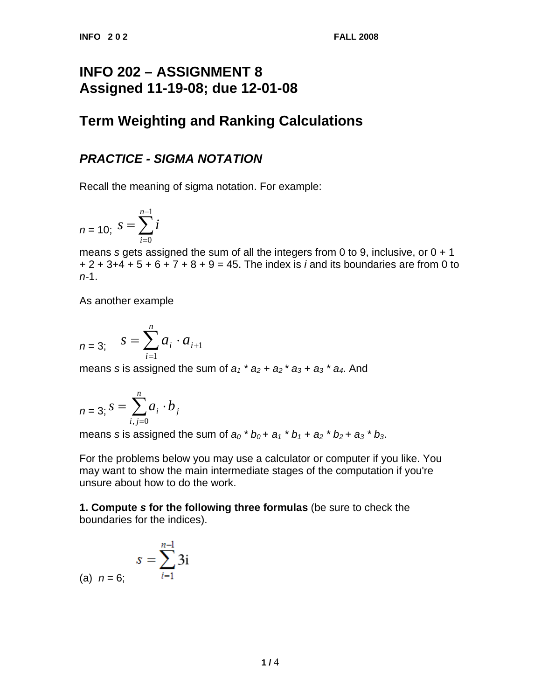## **INFO 202 – ASSIGNMENT 8 Assigned 11-19-08; due 12-01-08**

# **Term Weighting and Ranking Calculations**

### *PRACTICE - SIGMA NOTATION*

Recall the meaning of sigma notation. For example:

$$
n = 10; \ S = \sum_{i=0}^{n-1} i
$$

means *s* gets assigned the sum of all the integers from 0 to 9, inclusive, or 0 + 1 + 2 + 3+4 + 5 + 6 + 7 + 8 + 9 = 45. The index is *i* and its boundaries are from 0 to *n-*1.

As another example

$$
n = 3
$$
;  $s = \sum_{i=1}^{n} a_i \cdot a_{i+1}$ 

means *s* is assigned the sum of  $a_1$ <sup>\*</sup>  $a_2$  +  $a_2$ <sup>\*</sup>  $a_3$  +  $a_3$ <sup>\*</sup>  $a_4$ . And

$$
n=3; S=\sum_{i,j=0}^n a_i \cdot b_j
$$

means *s* is assigned the sum of  $a_0 * b_0 + a_1 * b_1 + a_2 * b_2 + a_3 * b_3$ .

For the problems below you may use a calculator or computer if you like. You may want to show the main intermediate stages of the computation if you're unsure about how to do the work.

**1. Compute** *s* **for the following three formulas** (be sure to check the boundaries for the indices).

(a) 
$$
n = 6
$$
;  $s = \sum_{i=1}^{n-1} 3i$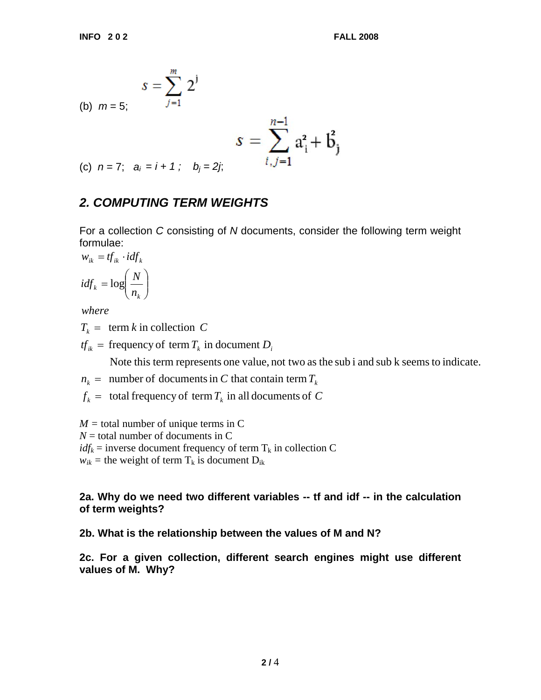(b) 
$$
m = 5
$$
; 
$$
s = \sum_{j=1}^{m} 2^{j}
$$

$$
s = \sum_{i,j=1}^{n-1} a_i^2 + \mathbf{b}_j^2
$$

(c)  $n = 7$ ;  $a_i = i + 1$ ;  $b_i = 2j$ ;

### *2. COMPUTING TERM WEIGHTS*

For a collection *C* consisting of *N* documents, consider the following term weight formulae:

$$
w_{ik} = tf_{ik} \cdot idf_k
$$

$$
idf_k = \log\left(\frac{N}{n_k}\right)
$$

*where*

 $T_k = \text{term } k \text{ in collection } C$ 

 $tf_{ik}$  = frequency of term  $T_k$  in document  $D_i$ 

Note this term represents one value, not two as the sub i and sub k seems to indicate.

 $n_k = \text{number of documents in } C \text{ that contain term } T_k$ 

 $f_k = \text{total frequency of term } T_k \text{ in all documents of } C$ 

 $M =$  total number of unique terms in C

 $N =$  total number of documents in C

 $idf_k$  = inverse document frequency of term  $T_k$  in collection C

 $w_{ik}$  = the weight of term  $T_k$  is document  $D_{ik}$ 

#### **2a. Why do we need two different variables -- tf and idf -- in the calculation of term weights?**

#### **2b. What is the relationship between the values of M and N?**

**2c. For a given collection, different search engines might use different values of M. Why?**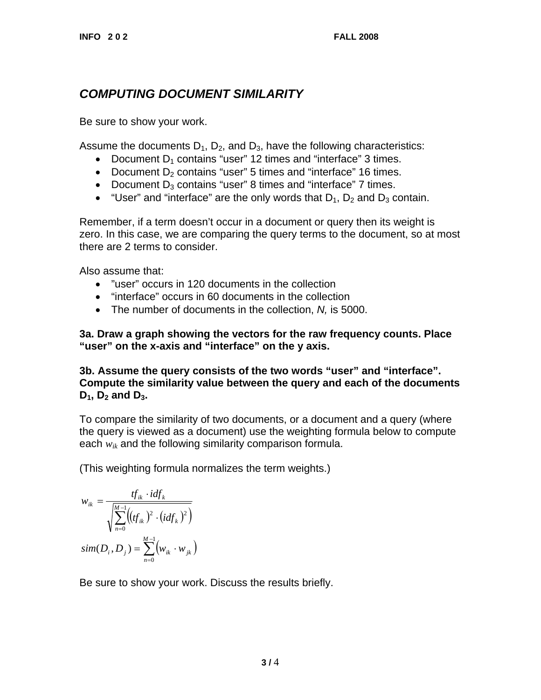## *COMPUTING DOCUMENT SIMILARITY*

Be sure to show your work.

Assume the documents  $D_1$ ,  $D_2$ , and  $D_3$ , have the following characteristics:

- Document  $D_1$  contains "user" 12 times and "interface" 3 times.
- Document  $D_2$  contains "user" 5 times and "interface" 16 times.
- Document  $D_3$  contains "user" 8 times and "interface" 7 times.
- "User" and "interface" are the only words that  $D_1$ ,  $D_2$  and  $D_3$  contain.

Remember, if a term doesn't occur in a document or query then its weight is zero. In this case, we are comparing the query terms to the document, so at most there are 2 terms to consider.

Also assume that:

- "user" occurs in 120 documents in the collection
- "interface" occurs in 60 documents in the collection
- The number of documents in the collection, *N,* is 5000.

**3a. Draw a graph showing the vectors for the raw frequency counts. Place "user" on the x-axis and "interface" on the y axis.** 

**3b. Assume the query consists of the two words "user" and "interface". Compute the similarity value between the query and each of the documents**   $D_1$ ,  $D_2$  and  $D_3$ .

To compare the similarity of two documents, or a document and a query (where the query is viewed as a document) use the weighting formula below to compute each *wik* and the following similarity comparison formula.

(This weighting formula normalizes the term weights.)

$$
w_{ik} = \frac{tf_{ik} \cdot idf_k}{\sqrt{\sum_{n=0}^{M-1} ((tf_{ik})^2 \cdot (idf_k)^2)}}
$$

$$
sim(D_i, D_j) = \sum_{n=0}^{M-1} (w_{ik} \cdot w_{jk})
$$

Be sure to show your work. Discuss the results briefly.